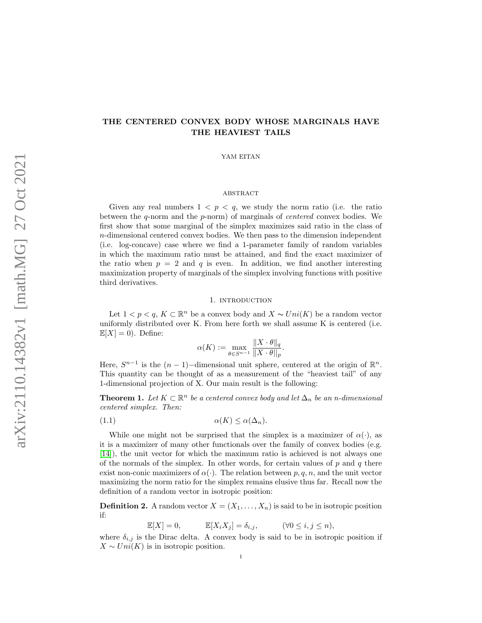# THE CENTERED CONVEX BODY WHOSE MARGINALS HAVE THE HEAVIEST TAILS

YAM EITAN

# **ABSTRACT**

Given any real numbers  $1 < p < q$ , we study the norm ratio (i.e. the ratio between the  $q$ -norm and the  $p$ -norm) of marginals of *centered* convex bodies. We first show that some marginal of the simplex maximizes said ratio in the class of n-dimensional centered convex bodies. We then pass to the dimension independent (i.e. log-concave) case where we find a 1-parameter family of random variables in which the maximum ratio must be attained, and find the exact maximizer of the ratio when  $p = 2$  and q is even. In addition, we find another interesting maximization property of marginals of the simplex involving functions with positive third derivatives.

### 1. introduction

Let  $1 < p < q$ ,  $K \subset \mathbb{R}^n$  be a convex body and  $X \sim Uni(K)$  be a random vector uniformly distributed over K. From here forth we shall assume K is centered (i.e.  $\mathbb{E}[X] = 0$ . Define:

$$
\alpha(K) := \max_{\theta \in S^{n-1}} \frac{\|X \cdot \theta\|_q}{\|X \cdot \theta\|_p}.
$$

Here,  $S^{n-1}$  is the  $(n-1)$ -dimensional unit sphere, centered at the origin of  $\mathbb{R}^n$ . This quantity can be thought of as a measurement of the "heaviest tail" of any 1-dimensional projection of X. Our main result is the following:

**Theorem 1.** Let  $K \subset \mathbb{R}^n$  be a centered convex body and let  $\Delta_n$  be an n-dimensional centered simplex. Then:

(1.1) α(K) ≤ α(∆n).

While one might not be surprised that the simplex is a maximizer of  $\alpha(\cdot)$ , as it is a maximizer of many other functionals over the family of convex bodies (e.g. [\[14\]](#page-10-0)), the unit vector for which the maximum ratio is achieved is not always one of the normals of the simplex. In other words, for certain values of  $p$  and  $q$  there exist non-conic maximizers of  $\alpha(\cdot)$ . The relation between p, q, n, and the unit vector maximizing the norm ratio for the simplex remains elusive thus far. Recall now the definition of a random vector in isotropic position:

**Definition 2.** A random vector  $X = (X_1, \ldots, X_n)$  is said to be in isotropic position if:

$$
\mathbb{E}[X] = 0, \qquad \mathbb{E}[X_i X_j] = \delta_{i,j}, \qquad (\forall 0 \le i, j \le n),
$$

where  $\delta_{i,j}$  is the Dirac delta. A convex body is said to be in isotropic position if  $X \sim Uni(K)$  is in isotropic position.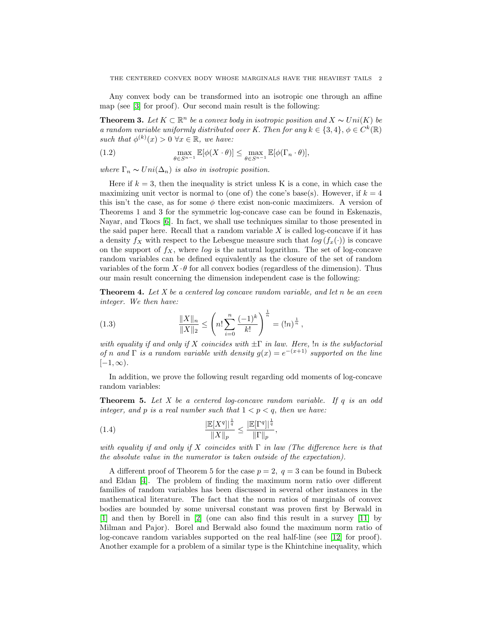Any convex body can be transformed into an isotropic one through an affine map (see [\[3\]](#page-9-0) for proof). Our second main result is the following:

**Theorem 3.** Let  $K \subset \mathbb{R}^n$  be a convex body in isotropic position and  $X \sim Uni(K)$  be a random variable uniformly distributed over K. Then for any  $k \in \{3, 4\}, \phi \in C^{k}(\mathbb{R})$ such that  $\phi^{(k)}(x) > 0 \ \forall x \in \mathbb{R}$ , we have:

(1.2) 
$$
\max_{\theta \in S^{n-1}} \mathbb{E}[\phi(X \cdot \theta)] \leq \max_{\theta \in S^{n-1}} \mathbb{E}[\phi(\Gamma_n \cdot \theta)],
$$

where  $\Gamma_n \sim Uni(\Delta_n)$  is also in isotropic position.

Here if  $k = 3$ , then the inequality is strict unless K is a cone, in which case the maximizing unit vector is normal to (one of) the cone's base(s). However, if  $k = 4$ this isn't the case, as for some  $\phi$  there exist non-conic maximizers. A version of Theorems 1 and 3 for the symmetric log-concave case can be found in Eskenazis, Nayar, and Tkocs [\[6\]](#page-9-1). In fact, we shall use techniques similar to those presented in the said paper here. Recall that a random variable  $X$  is called log-concave if it has a density  $f_X$  with respect to the Lebesgue measure such that  $log(f_x(\cdot))$  is concave on the support of  $f_X$ , where  $\log$  is the natural logarithm. The set of log-concave random variables can be defined equivalently as the closure of the set of random variables of the form  $X \cdot \theta$  for all convex bodies (regardless of the dimension). Thus our main result concerning the dimension independent case is the following:

**Theorem 4.** Let X be a centered log concave random variable, and let n be an even integer. We then have:

(1.3) 
$$
\frac{\|X\|_n}{\|X\|_2} \le \left(n! \sum_{i=0}^n \frac{(-1)^k}{k!}\right)^{\frac{1}{n}} = (\ln)^{\frac{1}{n}},
$$

with equality if and only if X coincides with  $\pm \Gamma$  in law. Here,  $\ln$  is the subfactorial of n and  $\Gamma$  is a random variable with density  $g(x) = e^{-(x+1)}$  supported on the line  $[-1, \infty)$ .

In addition, we prove the following result regarding odd moments of log-concave random variables:

**Theorem 5.** Let X be a centered log-concave random variable. If  $q$  is an odd integer, and p is a real number such that  $1 < p < q$ , then we have:

(1.4) 
$$
\frac{\|\mathbb{E}[X^q]\|^{\frac{1}{q}}}{\|X\|_p} \le \frac{\|\mathbb{E}[\Gamma^q]\|^{\frac{1}{q}}}{\|\Gamma\|_p},
$$

with equality if and only if X coincides with  $\Gamma$  in law (The difference here is that the absolute value in the numerator is taken outside of the expectation).

A different proof of Theorem 5 for the case  $p = 2$ ,  $q = 3$  can be found in Bubeck and Eldan [\[4\]](#page-9-2). The problem of finding the maximum norm ratio over different families of random variables has been discussed in several other instances in the mathematical literature. The fact that the norm ratios of marginals of convex bodies are bounded by some universal constant was proven first by Berwald in [\[1\]](#page-9-3) and then by Borell in [\[2\]](#page-9-4) (one can also find this result in a survey [\[11\]](#page-9-5) by Milman and Pajor). Borel and Berwald also found the maximum norm ratio of log-concave random variables supported on the real half-line (see [\[12\]](#page-9-6) for proof). Another example for a problem of a similar type is the Khintchine inequality, which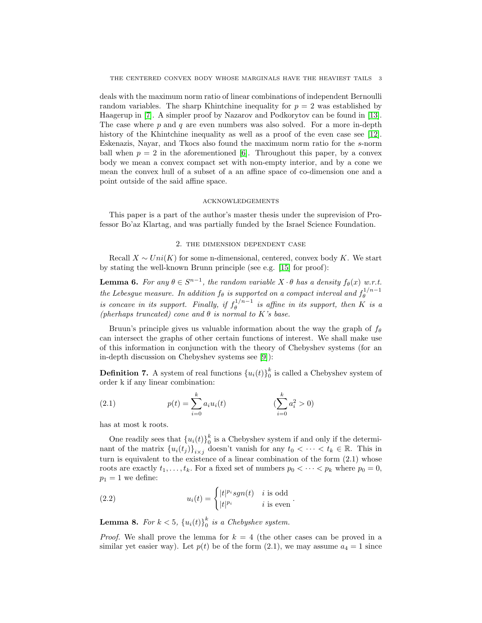deals with the maximum norm ratio of linear combinations of independent Bernoulli random variables. The sharp Khintchine inequality for  $p = 2$  was established by Haagerup in [\[7\]](#page-9-7). A simpler proof by Nazarov and Podkorytov can be found in [\[13\]](#page-9-8). The case where  $p$  and  $q$  are even numbers was also solved. For a more in-depth history of the Khintchine inequality as well as a proof of the even case see [\[12\]](#page-9-6). Eskenazis, Nayar, and Tkocs also found the maximum norm ratio for the s-norm ball when  $p = 2$  in the aforementioned [\[6\]](#page-9-1). Throughout this paper, by a convex body we mean a convex compact set with non-empty interior, and by a cone we mean the convex hull of a subset of a an affine space of co-dimension one and a point outside of the said affine space.

## acknowledgements

This paper is a part of the author's master thesis under the suprevision of Professor Bo'az Klartag, and was partially funded by the Israel Science Foundation.

#### 2. the dimension dependent case

Recall  $X \sim Uni(K)$  for some n-dimensional, centered, convex body K. We start by stating the well-known Brunn principle (see e.g. [\[15\]](#page-10-1) for proof):

**Lemma 6.** For any  $\theta \in S^{n-1}$ , the random variable  $X \cdot \theta$  has a density  $f_{\theta}(x)$  w.r.t. the Lebesgue measure. In addition  $f_{\theta}$  is supported on a compact interval and  $f_{\theta}^{1/n-1}$ θ is concave in its support. Finally, if  $f_a^{1/n-1}$  $\theta_{\theta}^{(1)/n-1}$  is affine in its support, then K is a (pherhaps truncated) cone and  $\theta$  is normal to K's base.

Bruun's principle gives us valuable information about the way the graph of  $f_{\theta}$ can intersect the graphs of other certain functions of interest. We shall make use of this information in conjunction with the theory of Chebyshev systems (for an in-depth discussion on Chebyshev systems see [\[9\]](#page-9-9)):

**Definition 7.** A system of real functions  ${u_i(t)}_0^k$  is called a Chebyshev system of order k if any linear combination:

(2.1) 
$$
p(t) = \sum_{i=0}^{k} a_i u_i(t) \qquad (\sum_{i=0}^{k} a_i^2 > 0)
$$

has at most k roots.

One readily sees that  ${u_i(t)}_0^k$  is a Chebyshev system if and only if the determinant of the matrix  $\{u_i(t_j)\}_{i\times j}$  doesn't vanish for any  $t_0 < \cdots < t_k \in \mathbb{R}$ . This in turn is equivalent to the existence of a linear combination of the form  $(2.1)$  whose roots are exactly  $t_1, \ldots, t_k$ . For a fixed set of numbers  $p_0 < \cdots < p_k$  where  $p_0 = 0$ ,  $p_1 = 1$  we define:

(2.2) 
$$
u_i(t) = \begin{cases} |t|^{p_i} sgn(t) & i \text{ is odd} \\ |t|^{p_i} & i \text{ is even} \end{cases}.
$$

**Lemma 8.** For  $k < 5$ ,  $\{u_i(t)\}_0^k$  is a Chebyshev system.

*Proof.* We shall prove the lemma for  $k = 4$  (the other cases can be proved in a similar yet easier way). Let  $p(t)$  be of the form (2.1), we may assume  $a_4 = 1$  since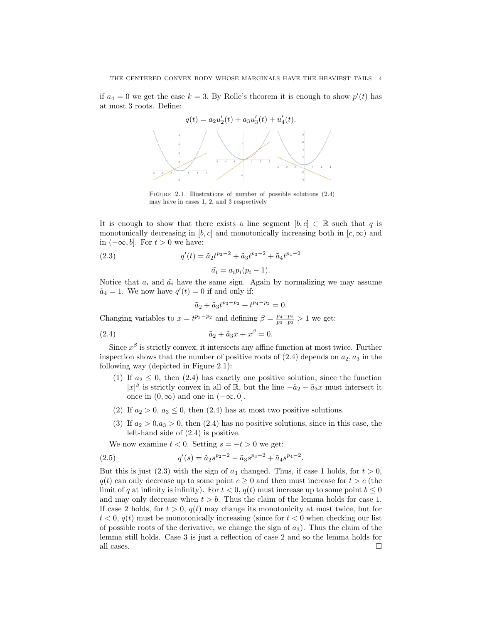if  $a_4 = 0$  we get the case  $k = 3$ . By Rolle's theorem it is enough to show  $p'(t)$  has at most 3 roots. Define:



FIGURE 2.1. Illustrations of number of possible solutions (2.4) may have in cases 1, 2, and 3 respectively

It is enough to show that there exists a line segment  $[b, c] \subset \mathbb{R}$  such that q is monotonically decreasing in [b, c] and monotonically increasing both in  $[c, \infty)$  and in  $(-\infty, b]$ . For  $t > 0$  we have:

(2.3) 
$$
q'(t) = \tilde{a}_2 t^{p_2 - 2} + \tilde{a}_3 t^{p_3 - 2} + \tilde{a}_4 t^{p_4 - 2}
$$

 $\tilde{a_i} = a_i p_i (p_i - 1).$ 

Notice that  $a_i$  and  $\tilde{a}_i$  have the same sign. Again by normalizing we may assume  $\tilde{a}_4 = 1$ . We now have  $q'(t) = 0$  if and only if:

$$
\tilde{a}_2 + \tilde{a}_3 t^{p_3 - p_2} + t^{p_4 - p_2} = 0.
$$

Changing variables to  $x = t^{p_3-p_2}$  and defining  $\beta = \frac{p_4-p_2}{p_3-p_2} > 1$  we get:

$$
(2.4) \qquad \qquad \tilde{a}_2 + \tilde{a}_3 x + x^\beta = 0.
$$

Since  $x^{\beta}$  is strictly convex, it intersects any affine function at most twice. Further inspection shows that the number of positive roots of  $(2.4)$  depends on  $a_2, a_3$  in the following way (depicted in Figure 2.1):

- (1) If  $a_2 \leq 0$ , then (2.4) has exactly one positive solution, since the function  $|x|^{\beta}$  is strictly convex in all of R, but the line  $-\tilde{a}_2 - \tilde{a}_3x$  must intersect it once in  $(0, \infty)$  and one in  $(-\infty, 0]$ .
- (2) If  $a_2 > 0$ ,  $a_3 \leq 0$ , then (2.4) has at most two positive solutions.
- (3) If  $a_2 > 0, a_3 > 0$ , then (2.4) has no positive solutions, since in this case, the left-hand side of (2.4) is positive.

We now examine  $t < 0$ . Setting  $s = -t > 0$  we get:

(2.5) 
$$
q'(s) = \tilde{a}_2 s^{p_2 - 2} - \tilde{a}_3 s^{p_3 - 2} + \tilde{a}_4 s^{p_4 - 2}.
$$

But this is just (2.3) with the sign of  $a_3$  changed. Thus, if case 1 holds, for  $t > 0$ ,  $q(t)$  can only decrease up to some point  $c \geq 0$  and then must increase for  $t > c$  (the limit of q at infinity is infinity). For  $t < 0$ ,  $q(t)$  must increase up to some point  $b \leq 0$ and may only decrease when  $t > b$ . Thus the claim of the lemma holds for case 1. If case 2 holds, for  $t > 0$ ,  $q(t)$  may change its monotonicity at most twice, but for  $t < 0$ ,  $q(t)$  must be monotonically increasing (since for  $t < 0$  when checking our list of possible roots of the derivative, we change the sign of  $a_3$ ). Thus the claim of the lemma still holds. Case 3 is just a reflection of case 2 and so the lemma holds for all cases.  $\Box$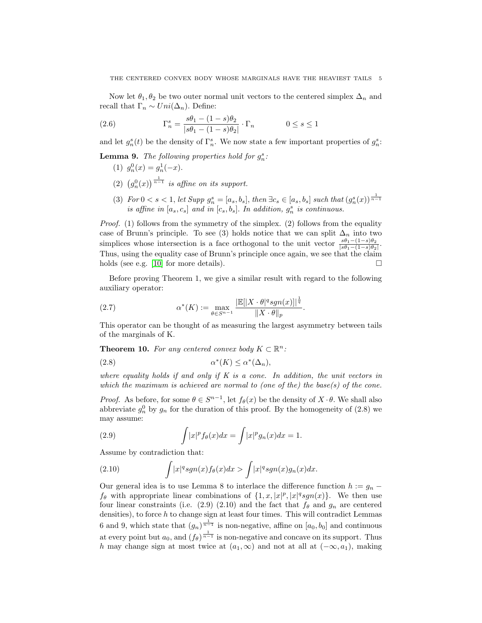Now let  $\theta_1, \theta_2$  be two outer normal unit vectors to the centered simplex  $\Delta_n$  and recall that  $\Gamma_n \sim Uni(\Delta_n)$ . Define:

(2.6) 
$$
\Gamma_n^s = \frac{s\theta_1 - (1-s)\theta_2}{|s\theta_1 - (1-s)\theta_2|} \cdot \Gamma_n \qquad 0 \le s \le 1
$$

and let  $g_n^s(t)$  be the density of  $\Gamma_n^s$ . We now state a few important properties of  $g_n^s$ .

**Lemma 9.** The following properties hold for  $g_n^s$ :

- (1)  $g_n^0(x) = g_n^1(-x)$ .
- (2)  $(g_n^0(x))^{\frac{1}{n-1}}$  is affine on its support.
- (3) For  $0 < s < 1$ , let Supp  $g_n^s = [a_s, b_s]$ , then  $\exists c_s \in [a_s, b_s]$  such that  $(g_n^s(x))^{1 \over n-1}$ is affine in  $[a_s, c_s]$  and in  $[c_s, b_s]$ . In addition,  $g_n^s$  is continuous.

Proof. (1) follows from the symmetry of the simplex. (2) follows from the equality case of Brunn's principle. To see (3) holds notice that we can split  $\Delta_n$  into two simplices whose intersection is a face orthogonal to the unit vector  $\frac{s\theta_1-(1-s)\theta_2}{|s\theta_1-(1-s)\theta_2|}$ . Thus, using the equality case of Brunn's principle once again, we see that the claim holds (see e.g. [\[10\]](#page-9-10) for more details).  $\square$ 

Before proving Theorem 1, we give a similar result with regard to the following auxiliary operator:

(2.7) 
$$
\alpha^*(K) := \max_{\theta \in S^{n-1}} \frac{|\mathbb{E}[|X \cdot \theta|^q sgn(x)|]^{\frac{1}{q}}}{\|X \cdot \theta\|_p}.
$$

This operator can be thought of as measuring the largest asymmetry between tails of the marginals of K.

**Theorem 10.** For any centered convex body  $K \subset \mathbb{R}^n$ :

$$
\alpha^*(K) \le \alpha^*(\Delta_n),
$$

where equality holds if and only if  $K$  is a cone. In addition, the unit vectors in which the maximum is achieved are normal to (one of the) the base(s) of the cone.

*Proof.* As before, for some  $\theta \in S^{n-1}$ , let  $f_{\theta}(x)$  be the density of  $X \cdot \theta$ . We shall also abbreviate  $g_n^0$  by  $g_n$  for the duration of this proof. By the homogeneity of (2.8) we may assume:

(2.9) 
$$
\int |x|^p f_\theta(x) dx = \int |x|^p g_n(x) dx = 1.
$$

Assume by contradiction that:

(2.10) 
$$
\int |x|^q sgn(x) f_{\theta}(x) dx > \int |x|^q sgn(x) g_n(x) dx.
$$

Our general idea is to use Lemma 8 to interlace the difference function  $h := g_n$  $f_{\theta}$  with appropriate linear combinations of  $\{1, x, |x|^p, |x|^q sgn(x)\}$ . We then use four linear constraints (i.e. (2.9) (2.10) and the fact that  $f_{\theta}$  and  $g_n$  are centered densities), to force  $h$  to change sign at least four times. This will contradict Lemmas 6 and 9, which state that  $(g_n)^{\frac{1}{n-1}}$  is non-negative, affine on  $[a_0, b_0]$  and continuous at every point but  $a_0$ , and  $(f_\theta)^{\frac{1}{n-1}}$  is non-negative and concave on its support. Thus h may change sign at most twice at  $(a_1, \infty)$  and not at all at  $(-\infty, a_1)$ , making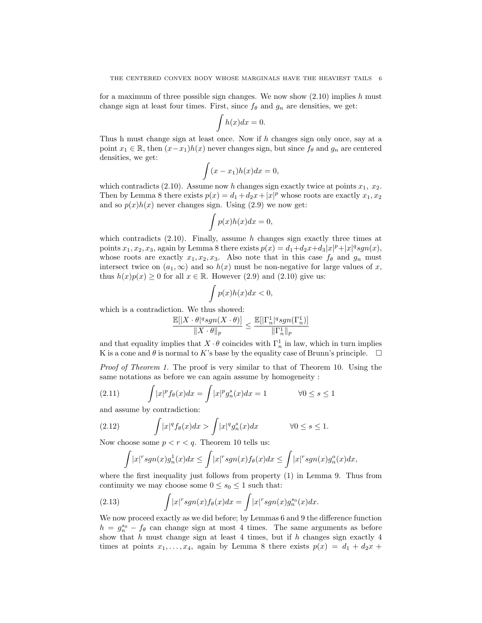for a maximum of three possible sign changes. We now show  $(2.10)$  implies h must change sign at least four times. First, since  $f_{\theta}$  and  $g_n$  are densities, we get:

$$
\int h(x)dx = 0.
$$

Thus h must change sign at least once. Now if h changes sign only once, say at a point  $x_1 \in \mathbb{R}$ , then  $(x-x_1)h(x)$  never changes sign, but since  $f_\theta$  and  $g_n$  are centered densities, we get:

$$
\int (x - x_1)h(x)dx = 0,
$$

which contradicts (2.10). Assume now h changes sign exactly twice at points  $x_1$ ,  $x_2$ . Then by Lemma 8 there exists  $p(x) = d_1 + d_2x + |x|^p$  whose roots are exactly  $x_1, x_2$ and so  $p(x)h(x)$  never changes sign. Using (2.9) we now get:

$$
\int p(x)h(x)dx = 0,
$$

which contradicts  $(2.10)$ . Finally, assume h changes sign exactly three times at points  $x_1, x_2, x_3$ , again by Lemma 8 there exists  $p(x) = d_1 + d_2x + d_3|x|^p + |x|^q sgn(x)$ , whose roots are exactly  $x_1, x_2, x_3$ . Also note that in this case  $f_\theta$  and  $g_n$  must intersect twice on  $(a_1, \infty)$  and so  $h(x)$  must be non-negative for large values of x, thus  $h(x)p(x) \ge 0$  for all  $x \in \mathbb{R}$ . However (2.9) and (2.10) give us:

$$
\int p(x)h(x)dx < 0,
$$

which is a contradiction. We thus showed:

$$
\frac{\mathbb{E}[|X\cdot \theta|^q sgn(X\cdot \theta)]}{\|X\cdot \theta\|_p} \leq \frac{\mathbb{E}[|\Gamma_n^1|^q sgn(\Gamma_n^1)]}{\|\Gamma_n^1\|_p}
$$

and that equality implies that  $X \cdot \theta$  coincides with  $\Gamma_n^1$  in law, which in turn implies K is a cone and  $\theta$  is normal to K's base by the equality case of Brunn's principle.  $\Box$ 

Proof of Theorem 1. The proof is very similar to that of Theorem 10. Using the same notations as before we can again assume by homogeneity :

(2.11) 
$$
\int |x|^p f_\theta(x) dx = \int |x|^p g_n^s(x) dx = 1 \qquad \forall 0 \le s \le 1
$$

and assume by contradiction:

(2.12) 
$$
\int |x|^q f_\theta(x) dx > \int |x|^q g_n^s(x) dx \qquad \forall 0 \le s \le 1.
$$

Now choose some  $p < r < q$ . Theorem 10 tells us:

$$
\int |x|^r sgn(x)g_n^1(x)dx \leq \int |x|^r sgn(x)f_\theta(x)dx \leq \int |x|^r sgn(x)g_n^o(x)dx,
$$

where the first inequality just follows from property (1) in Lemma 9. Thus from continuity we may choose some  $0 \leq s_0 \leq 1$  such that:

(2.13) 
$$
\int |x|^r sgn(x) f_{\theta}(x) dx = \int |x|^r sgn(x) g_n^{s_0}(x) dx.
$$

We now proceed exactly as we did before; by Lemmas 6 and 9 the difference function  $h = g_n^{s_0} - f_\theta$  can change sign at most 4 times. The same arguments as before show that  $h$  must change sign at least 4 times, but if  $h$  changes sign exactly 4 times at points  $x_1, \ldots, x_4$ , again by Lemma 8 there exists  $p(x) = d_1 + d_2x +$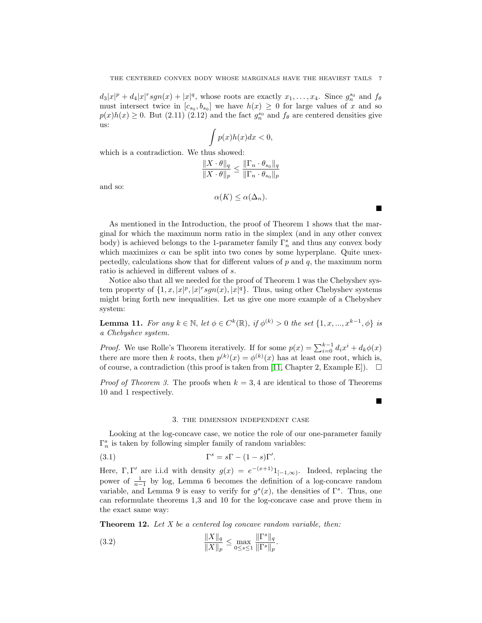$d_3|x|^p + d_4|x|^r sgn(x) + |x|^q$ , whose roots are exactly  $x_1, \ldots, x_4$ . Since  $g_n^{s_0}$  and  $f_\theta$ must intersect twice in  $[c_{s_0}, b_{s_0}]$  we have  $h(x) \geq 0$  for large values of x and so  $p(x)h(x) \geq 0$ . But (2.11) (2.12) and the fact  $g_n^{s_0}$  and  $f_\theta$  are centered densities give us:

$$
\int p(x)h(x)dx < 0,
$$

which is a contradiction. We thus showed:

$$
\frac{\|X \cdot \theta\|_q}{\|X \cdot \theta\|_p} \le \frac{\|\Gamma_n \cdot \theta_{s_0}\|_q}{\|\Gamma_n \cdot \theta_{s_0}\|_p}
$$

and so:

$$
\alpha(K) \leq \alpha(\Delta_n).
$$

 $\blacksquare$ 

 $\blacksquare$ 

As mentioned in the Introduction, the proof of Theorem 1 shows that the marginal for which the maximum norm ratio in the simplex (and in any other convex body) is achieved belongs to the 1-parameter family  $\Gamma_n^s$  and thus any convex body which maximizes  $\alpha$  can be split into two cones by some hyperplane. Quite unexpectedly, calculations show that for different values of  $p$  and  $q$ , the maximum norm ratio is achieved in different values of s.

Notice also that all we needed for the proof of Theorem 1 was the Chebyshev system property of  $\{1, x, |x|^p, |x|^r \text{sgn}(x), |x|^q\}$ . Thus, using other Chebyshev systems might bring forth new inequalities. Let us give one more example of a Chebyshev system:

**Lemma 11.** For any  $k \in \mathbb{N}$ , let  $\phi \in C^k(\mathbb{R})$ , if  $\phi^{(k)} > 0$  the set  $\{1, x, ..., x^{k-1}, \phi\}$  is a Chebyshev system.

*Proof.* We use Rolle's Theorem iteratively. If for some  $p(x) = \sum_{i=0}^{k-1} d_i x^i + d_k \phi(x)$ there are more then k roots, then  $p^{(k)}(x) = \phi^{(k)}(x)$  has at least one root, which is, of course, a contradiction (this proof is taken from [\[11,](#page-9-5) Chapter 2, Example E]).  $\Box$ 

*Proof of Theorem 3.* The proofs when  $k = 3, 4$  are identical to those of Theorems 10 and 1 respectively.

# 3. the dimension independent case

Looking at the log-concave case, we notice the role of our one-parameter family  $\Gamma_n^s$  is taken by following simpler family of random variables:

(3.1) 
$$
\Gamma^s = s\Gamma - (1 - s)\Gamma'.
$$

Here,  $\Gamma, \Gamma'$  are i.i.d with density  $g(x) = e^{-(x+1)} 1_{[-1,\infty)}$ . Indeed, replacing the power of  $\frac{1}{n-1}$  by log, Lemma 6 becomes the definition of a log-concave random variable, and Lemma 9 is easy to verify for  $g^{s}(x)$ , the densities of  $\Gamma^{s}$ . Thus, one can reformulate theorems 1,3 and 10 for the log-concave case and prove them in the exact same way:

Theorem 12. Let X be a centered log concave random variable, then:

(3.2) 
$$
\frac{\|X\|_q}{\|X\|_p} \le \max_{0 \le s \le 1} \frac{\|\Gamma^s\|_q}{\|\Gamma^s\|_p}.
$$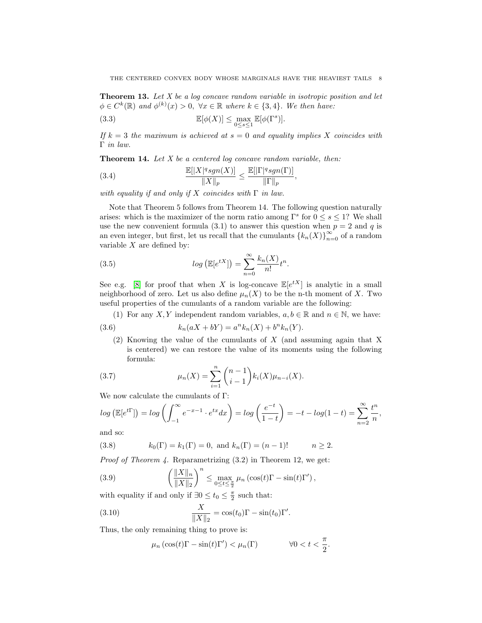**Theorem 13.** Let  $X$  be a log concave random variable in isotropic position and let  $\phi \in C^k(\mathbb{R})$  and  $\phi^{(k)}(x) > 0$ ,  $\forall x \in \mathbb{R}$  where  $k \in \{3, 4\}$ . We then have:

(3.3) 
$$
\mathbb{E}[\phi(X)] \leq \max_{0 \leq s \leq 1} \mathbb{E}[\phi(\Gamma^s)].
$$

If  $k = 3$  the maximum is achieved at  $s = 0$  and equality implies X coincides with Γ in law.

,

**Theorem 14.** Let  $X$  be a centered log concave random variable, then:

(3.4) 
$$
\frac{\mathbb{E}[|X|^q sgn(X)]}{\|X\|_p} \le \frac{\mathbb{E}[|\Gamma|^q sgn(\Gamma)]}{\|\Gamma\|_p}
$$

with equality if and only if X coincides with  $\Gamma$  in law.

Note that Theorem 5 follows from Theorem 14. The following question naturally arises: which is the maximizer of the norm ratio among  $\Gamma^s$  for  $0 \leq s \leq 1$ ? We shall use the new convenient formula (3.1) to answer this question when  $p = 2$  and q is an even integer, but first, let us recall that the cumulants  $\{k_n(X)\}_{n=0}^{\infty}$  of a random variable  $X$  are defined by:

(3.5) 
$$
log\left(\mathbb{E}[e^{tX}]\right) = \sum_{n=0}^{\infty} \frac{k_n(X)}{n!} t^n.
$$

See e.g. [\[8\]](#page-9-11) for proof that when X is log-concave  $\mathbb{E}[e^{tX}]$  is analytic in a small neighborhood of zero. Let us also define  $\mu_n(X)$  to be the n-th moment of X. Two useful properties of the cumulants of a random variable are the following:

(1) For any X, Y independent random variables,  $a, b \in \mathbb{R}$  and  $n \in \mathbb{N}$ , we have:

(3.6) 
$$
k_n(aX + bY) = a^n k_n(X) + b^n k_n(Y).
$$

(2) Knowing the value of the cumulants of X (and assuming again that X is centered) we can restore the value of its moments using the following formula:

(3.7) 
$$
\mu_n(X) = \sum_{i=1}^n \binom{n-1}{i-1} k_i(X) \mu_{n-i}(X).
$$

We now calculate the cumulants of Γ:

$$
\log\left(\mathbb{E}[e^{t\Gamma}]\right) = \log\left(\int_{-1}^{\infty} e^{-x-1} \cdot e^{tx} dx\right) = \log\left(\frac{e^{-t}}{1-t}\right) = -t - \log(1-t) = \sum_{n=2}^{\infty} \frac{t^n}{n},
$$

and so:

(3.8) 
$$
k_0(\Gamma) = k_1(\Gamma) = 0
$$
, and  $k_n(\Gamma) = (n-1)!$   $n \ge 2$ .

*Proof of Theorem 4.* Reparametrizing  $(3.2)$  in Theorem 12, we get:

(3.9) 
$$
\left(\frac{\|X\|_n}{\|X\|_2}\right)^n \leq \max_{0 \leq t \leq \frac{\pi}{2}} \mu_n \left(\cos(t)\Gamma - \sin(t)\Gamma'\right),
$$

with equality if and only if  $\exists 0 \le t_0 \le \frac{\pi}{2}$  such that:

(3.10) 
$$
\frac{X}{\|X\|_2} = \cos(t_0)\Gamma - \sin(t_0)\Gamma'.
$$

Thus, the only remaining thing to prove is:

$$
\mu_n \left( \cos(t) \Gamma - \sin(t) \Gamma' \right) < \mu_n(\Gamma) \qquad \forall 0 < t < \frac{\pi}{2}.
$$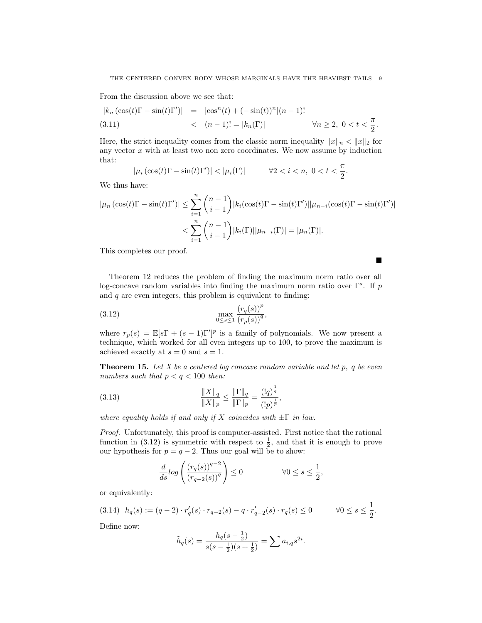From the discussion above we see that:

$$
|k_n(\cos(t)\Gamma - \sin(t)\Gamma')| = |\cos^n(t) + (-\sin(t))^n|(n-1)!
$$
  
(3.11) 
$$
\langle (n-1)! = |k_n(\Gamma)| \qquad \forall n \ge 2, \ 0 < t < \frac{\pi}{2}.
$$

Here, the strict inequality comes from the classic norm inequality  $||x||_n < ||x||_2$  for any vector  $x$  with at least two non zero coordinates. We now assume by induction that:

$$
|\mu_i(\cos(t)\Gamma - \sin(t)\Gamma')| < |\mu_i(\Gamma)| \qquad \forall 2 < i < n, \ 0 < t < \frac{\pi}{2}.
$$

We thus have:

$$
|\mu_n(\cos(t)\Gamma - \sin(t)\Gamma')| \le \sum_{i=1}^n {n-1 \choose i-1} |k_i(\cos(t)\Gamma - \sin(t)\Gamma')||\mu_{n-i}(\cos(t)\Gamma - \sin(t)\Gamma')|
$$
  

$$
< \sum_{i=1}^n {n-1 \choose i-1} |k_i(\Gamma)||\mu_{n-i}(\Gamma)| = |\mu_n(\Gamma)|.
$$

 $\blacksquare$ 

This completes our proof.

Theorem 12 reduces the problem of finding the maximum norm ratio over all log-concave random variables into finding the maximum norm ratio over  $\Gamma^s$ . If p and  $q$  are even integers, this problem is equivalent to finding:

(3.12) 
$$
\max_{0 \le s \le 1} \frac{(r_q(s))^p}{(r_p(s))^q},
$$

where  $r_p(s) = \mathbb{E}[s\Gamma + (s-1)\Gamma']^p$  is a family of polynomials. We now present a technique, which worked for all even integers up to 100, to prove the maximum is achieved exactly at  $s = 0$  and  $s = 1$ .

**Theorem 15.** Let X be a centered log concave random variable and let  $p$ , q be even numbers such that  $p < q < 100$  then:

,

(3.13) 
$$
\frac{\|X\|_q}{\|X\|_p} \le \frac{\|\Gamma\|_q}{\|\Gamma\|_p} = \frac{(|q)^{\frac{1}{q}}}{(|p)^{\frac{1}{p}}}
$$

where equality holds if and only if X coincides with  $\pm \Gamma$  in law.

Proof. Unfortunately, this proof is computer-assisted. First notice that the rational function in (3.12) is symmetric with respect to  $\frac{1}{2}$ , and that it is enough to prove our hypothesis for  $p = q - 2$ . Thus our goal will be to show:

$$
\frac{d}{ds} \log \left( \frac{(r_q(s))^{q-2}}{(r_{q-2}(s))^q} \right) \le 0 \qquad \qquad \forall 0 \le s \le \frac{1}{2},
$$

or equivalently:

$$
(3.14) \ \ h_q(s) := (q-2) \cdot r'_q(s) \cdot r_{q-2}(s) - q \cdot r'_{q-2}(s) \cdot r_q(s) \le 0 \qquad \forall 0 \le s \le \frac{1}{2}.
$$

Define now:

$$
\tilde{h}_q(s) = \frac{h_q(s - \frac{1}{2})}{s(s - \frac{1}{2})(s + \frac{1}{2})} = \sum a_{i,q} s^{2i}.
$$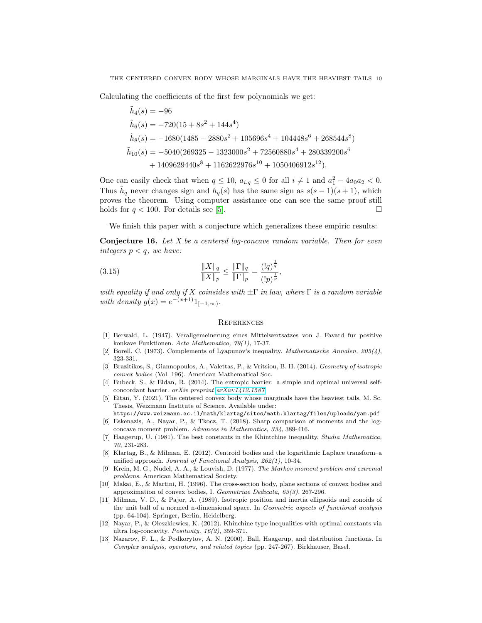Calculating the coefficients of the first few polynomials we get:

$$
\tilde{h}_4(s) = -96
$$
\n
$$
\tilde{h}_6(s) = -720(15 + 8s^2 + 144s^4)
$$
\n
$$
\tilde{h}_8(s) = -1680(1485 - 2880s^2 + 105696s^4 + 104448s^6 + 268544s^8)
$$
\n
$$
\tilde{h}_{10}(s) = -5040(269325 - 1323000s^2 + 72560880s^4 + 280339200s^6 + 1409629440s^8 + 1162622976s^{10} + 1050406912s^{12}).
$$

One can easily check that when  $q \leq 10$ ,  $a_{i,q} \leq 0$  for all  $i \neq 1$  and  $a_1^2 - 4a_0 a_2 < 0$ . Thus  $\tilde{h}_q$  never changes sign and  $h_q(s)$  has the same sign as  $s(s-1)(s+1)$ , which proves the theorem. Using computer assistance one can see the same proof still holds for  $q < 100$ . For details see [\[5\]](#page-9-12).

We finish this paper with a conjecture which generalizes these empiric results:

**Conjecture 16.** Let  $X$  be a centered log-concave random variable. Then for even integers  $p < q$ , we have:

(3.15) 
$$
\frac{\|X\|_q}{\|X\|_p} \le \frac{\|\Gamma\|_q}{\|\Gamma\|_p} = \frac{(|q)^{\frac{1}{q}}}{(|p)^{\frac{1}{p}}}
$$

with equality if and only if X coinsides with  $\pm\Gamma$  in law, where  $\Gamma$  is a random variable with density  $g(x) = e^{-(x+1)} 1_{[-1,\infty)}$ .

,

### **REFERENCES**

- <span id="page-9-3"></span>[1] Berwald, L. (1947). Verallgemeinerung eines Mittelwertsatzes von J. Favard fur positive konkave Funktionen. Acta Mathematica, 79(1), 17-37.
- <span id="page-9-4"></span>[2] Borell, C. (1973). Complements of Lyapunov's inequality. Mathematische Annalen, 205(4), 323-331.
- <span id="page-9-0"></span>[3] Brazitikos, S., Giannopoulos, A., Valettas, P., & Vritsiou, B. H. (2014). Geometry of isotropic convex bodies (Vol. 196). American Mathematical Soc.
- <span id="page-9-2"></span>[4] Bubeck, S., & Eldan, R. (2014). The entropic barrier: a simple and optimal universal selfconcordant barrier. arXiv preprint [arXiv:1412.1587](http://arxiv.org/abs/1412.1587).
- <span id="page-9-12"></span>[5] Eitan, Y. (2021). The centered convex body whose marginals have the heaviest tails. M. Sc. Thesis, Weizmann Institute of Science. Available under:
- <span id="page-9-1"></span>https://www.weizmann.ac.il/math/klartag/sites/math.klartag/files/uploads/yam.pdf [6] Eskenazis, A., Nayar, P., & Tkocz, T. (2018). Sharp comparison of moments and the logconcave moment problem. Advances in Mathematics, 334, 389-416.
- <span id="page-9-7"></span>[7] Haagerup, U. (1981). The best constants in the Khintchine inequality. Studia Mathematica, 70, 231-283.
- <span id="page-9-11"></span>[8] Klartag, B., & Milman, E. (2012). Centroid bodies and the logarithmic Laplace transform–a unified approach. Journal of Functional Analysis, 262(1), 10-34.
- <span id="page-9-9"></span>[9] Kreĭn, M. G., Nudel, A. A., & Louvish, D. (1977). The Markov moment problem and extremal problems. American Mathematical Society.
- <span id="page-9-10"></span>[10] Makai, E., & Martini, H. (1996). The cross-section body, plane sections of convex bodies and approximation of convex bodies, I. Geometriae Dedicata, 63(3), 267-296.
- <span id="page-9-5"></span>[11] Milman, V. D., & Pajor, A. (1989). Isotropic position and inertia ellipsoids and zonoids of the unit ball of a normed n-dimensional space. In Geometric aspects of functional analysis (pp. 64-104). Springer, Berlin, Heidelberg.
- <span id="page-9-6"></span>[12] Nayar, P., & Oleszkiewicz, K. (2012). Khinchine type inequalities with optimal constants via ultra log-concavity. Positivity, 16(2), 359-371.
- <span id="page-9-8"></span>[13] Nazarov, F. L., & Podkorytov, A. N. (2000). Ball, Haagerup, and distribution functions. In Complex analysis, operators, and related topics (pp. 247-267). Birkhauser, Basel.